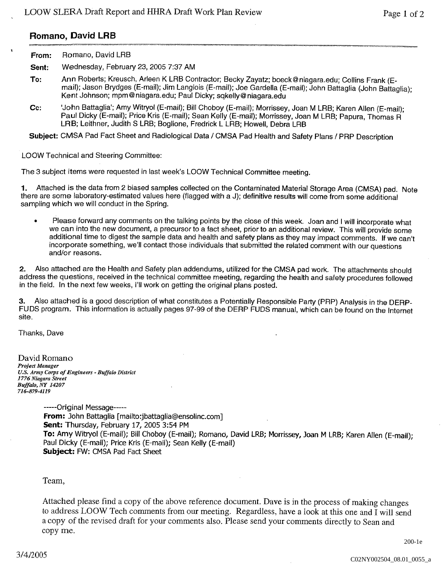## Romano, David LRB

| Romano, David LRB |
|-------------------|
|                   |

Sent: Wednesday, February 23, 2005 7:37 AM

- To: Ann Roberts; Kreusch, Arleen K LRB Contractor; Becky Zayatz; boeck@niagara.edu; Collins Frank (Email): Jason Brydges (E-mail); Jim Langlois (E-mail); Joe Gardella (E-mail); John Battaglia (John Battaglia); Kent Johnson; mpm@niagara.edu; Paul Dicky; sqkelly@niagara.edu
- Cc: John Battaglia'; Amy Witryol (E-mail); Bill Choboy (E-mail); Morrissey, Joan M LRB; Karen Allen (E-mail); Paul Dicky (E-mail); Price Kris (E-mail); Sean Kelly (E-mail); Morrissey, Joan M LRB; Papura, Thomas R LRB; Leithner, Judith S LRB; Boglione, Fredrick L LRB; Howell, Debra LRB

Subject: CMSA Pad Fact Sheet and Radiological Data / CMSA Pad Health and Safety Plans / PRP Description

LOOW Technical and Steering Committee

The 3 subject items were requested in last week's LOOW Technical Committee meeting.

Attached is the data from 2 biased samples collected on the Contaminated Material Storage Area (CMSA) pad. Note 1. there are some laboratory-estimated values here (flagged with a J); definitive results will come from some additional sampling which we will conduct in the Spring.

Please forward any comments on the talking points by the close of this week. Joan and I will incorporate what we can into the new document, a precursor to a fact sheet, prior to an additional review. This will provide some<br>additional time to digest the sample data and health and safety plans as they may impact comments. If we can' incorporate something, we'll contact those individuals that submitted the related comment with our questions and/or reasons

Also attached are the Health and Safety plan addendums, utilized for the CMSA pad work. The attachments should  $2.$ address the questions, received in the technical committee meeting, regarding the health and safety procedures followed in the field. In the next few weeks, I'll work on getting the original plans posted,

Also attached is a good description of what constitutes a Potentially Responsible Party (PRP) Analysis in the DERP-З. FUDS program. This information is actually pages 97-99 of the DERP FUDS manual, which can be found on the Internet site

Thanks, Dave

David Romano Project Manager U.S. Army Corps of Engineers - Buffalo District 1776 Niagara Street Buffalo, NY 14207 716-879-4119

> -----Original Message-----From: John Battaglia [mailto:jbattaglia@ensolinc.com] Sent: Thursday, February 17, 2005 3:54 PM To: Amy Witryol (E-mail); Bill Choboy (E-mail); Romano, David LRB; Morrissey, Joan M LRB; Karen Allen (E-mail); Paul Dicky (E-mail); Price Kris (E-mail); Sean Kelly (E-mail) Subject: FW: CMSA Pad Fact Sheet

Team

Attached please find a copy of the above reference document. Dave is in the process of making changes to address LOOW Tech comments from our meeting. Regardless, have a look at this one and  $\overline{I}$  will send a copy of the revised draft for your comments also. Please send your comments directly to Sean and copy me

200-1e